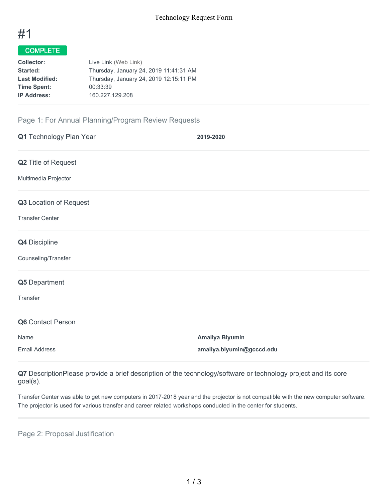

# COMPLETE

| <b>Collector:</b>     | Live Link (Web Link)                   |
|-----------------------|----------------------------------------|
| Started:              | Thursday, January 24, 2019 11:41:31 AM |
| <b>Last Modified:</b> | Thursday, January 24, 2019 12:15:11 PM |
| <b>Time Spent:</b>    | 00:33:39                               |
| <b>IP Address:</b>    | 160.227.129.208                        |
|                       |                                        |

## Page 1: For Annual Planning/Program Review Requests

| Q1 Technology Plan Year | 2019-2020                 |
|-------------------------|---------------------------|
| Q2 Title of Request     |                           |
| Multimedia Projector    |                           |
| Q3 Location of Request  |                           |
| <b>Transfer Center</b>  |                           |
| Q4 Discipline           |                           |
| Counseling/Transfer     |                           |
| Q5 Department           |                           |
| Transfer                |                           |
| Q6 Contact Person       |                           |
| Name                    | <b>Amaliya Blyumin</b>    |
| <b>Email Address</b>    | amaliya.blyumin@gcccd.edu |

**Q7** DescriptionPlease provide a brief description of the technology/software or technology project and its core goal(s).

Transfer Center was able to get new computers in 2017-2018 year and the projector is not compatible with the new computer software. The projector is used for various transfer and career related workshops conducted in the center for students.

Page 2: Proposal Justification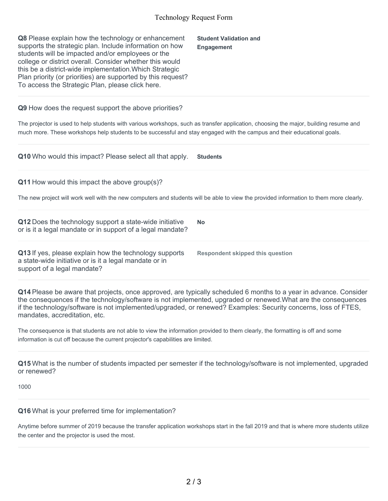#### Technology Request Form

| Q8 Please explain how the technology or enhancement<br>supports the strategic plan. Include information on how<br>students will be impacted and/or employees or the<br>college or district overall. Consider whether this would<br>this be a district-wide implementation. Which Strategic<br>Plan priority (or priorities) are supported by this request?<br>To access the Strategic Plan, please click here. | <b>Student Validation and</b><br><b>Engagement</b> |
|----------------------------------------------------------------------------------------------------------------------------------------------------------------------------------------------------------------------------------------------------------------------------------------------------------------------------------------------------------------------------------------------------------------|----------------------------------------------------|
| Q9 How does the request support the above priorities?                                                                                                                                                                                                                                                                                                                                                          |                                                    |
| The projector is used to help students with various workshops, such as transfer application, choosing the major, building resume and<br>much more. These workshops help students to be successful and stay engaged with the campus and their educational goals.                                                                                                                                                |                                                    |
| Q10 Who would this impact? Please select all that apply.                                                                                                                                                                                                                                                                                                                                                       | <b>Students</b>                                    |
| Q11 How would this impact the above group(s)?                                                                                                                                                                                                                                                                                                                                                                  |                                                    |
| The new project will work well with the new computers and students will be able to view the provided information to them more clearly.                                                                                                                                                                                                                                                                         |                                                    |
| Q12 Does the technology support a state-wide initiative<br>or is it a legal mandate or in support of a legal mandate?                                                                                                                                                                                                                                                                                          | <b>No</b>                                          |
| Q13 If yes, please explain how the technology supports<br>a state-wide initiative or is it a legal mandate or in<br>support of a legal mandate?                                                                                                                                                                                                                                                                | <b>Respondent skipped this question</b>            |
| Q14 Please be aware that projects, once approved, are typically scheduled 6 months to a year in advance. Consider<br>the consequences if the technology/software is not implemented, upgraded or renewed. What are the consequences                                                                                                                                                                            |                                                    |

mandates, accreditation, etc. The consequence is that students are not able to view the information provided to them clearly, the formatting is off and some

if the technology/software is not implemented/upgraded, or renewed? Examples: Security concerns, loss of FTES,

information is cut off because the current projector's capabilities are limited.

**Q15** What is the number of students impacted per semester if the technology/software is not implemented, upgraded or renewed?

1000

#### **Q16** What is your preferred time for implementation?

Anytime before summer of 2019 because the transfer application workshops start in the fall 2019 and that is where more students utilize the center and the projector is used the most.